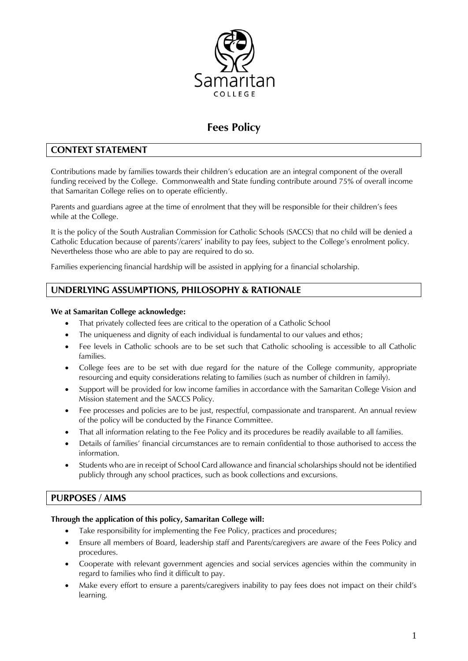

# **Fees Policy**

# **CONTEXT STATEMENT**

Contributions made by families towards their children's education are an integral component of the overall funding received by the College. Commonwealth and State funding contribute around 75% of overall income that Samaritan College relies on to operate efficiently.

Parents and guardians agree at the time of enrolment that they will be responsible for their children's fees while at the College.

It is the policy of the South Australian Commission for Catholic Schools (SACCS) that no child will be denied a Catholic Education because of parents'/carers' inability to pay fees, subject to the College's enrolment policy. Nevertheless those who are able to pay are required to do so.

Families experiencing financial hardship will be assisted in applying for a financial scholarship.

# **UNDERLYING ASSUMPTIONS, PHILOSOPHY & RATIONALE**

#### **We at Samaritan College acknowledge:**

- That privately collected fees are critical to the operation of a Catholic School
- The uniqueness and dignity of each individual is fundamental to our values and ethos;
- Fee levels in Catholic schools are to be set such that Catholic schooling is accessible to all Catholic families.
- College fees are to be set with due regard for the nature of the College community, appropriate resourcing and equity considerations relating to families (such as number of children in family).
- Support will be provided for low income families in accordance with the Samaritan College Vision and Mission statement and the SACCS Policy.
- Fee processes and policies are to be just, respectful, compassionate and transparent. An annual review of the policy will be conducted by the Finance Committee.
- That all information relating to the Fee Policy and its procedures be readily available to all families.
- Details of families' financial circumstances are to remain confidential to those authorised to access the information.
- Students who are in receipt of School Card allowance and financial scholarships should not be identified publicly through any school practices, such as book collections and excursions.

## **PURPOSES / AIMS**

#### **Through the application of this policy, Samaritan College will:**

- Take responsibility for implementing the Fee Policy, practices and procedures;
- Ensure all members of Board, leadership staff and Parents/caregivers are aware of the Fees Policy and procedures.
- Cooperate with relevant government agencies and social services agencies within the community in regard to families who find it difficult to pay.
- Make every effort to ensure a parents/caregivers inability to pay fees does not impact on their child's learning.